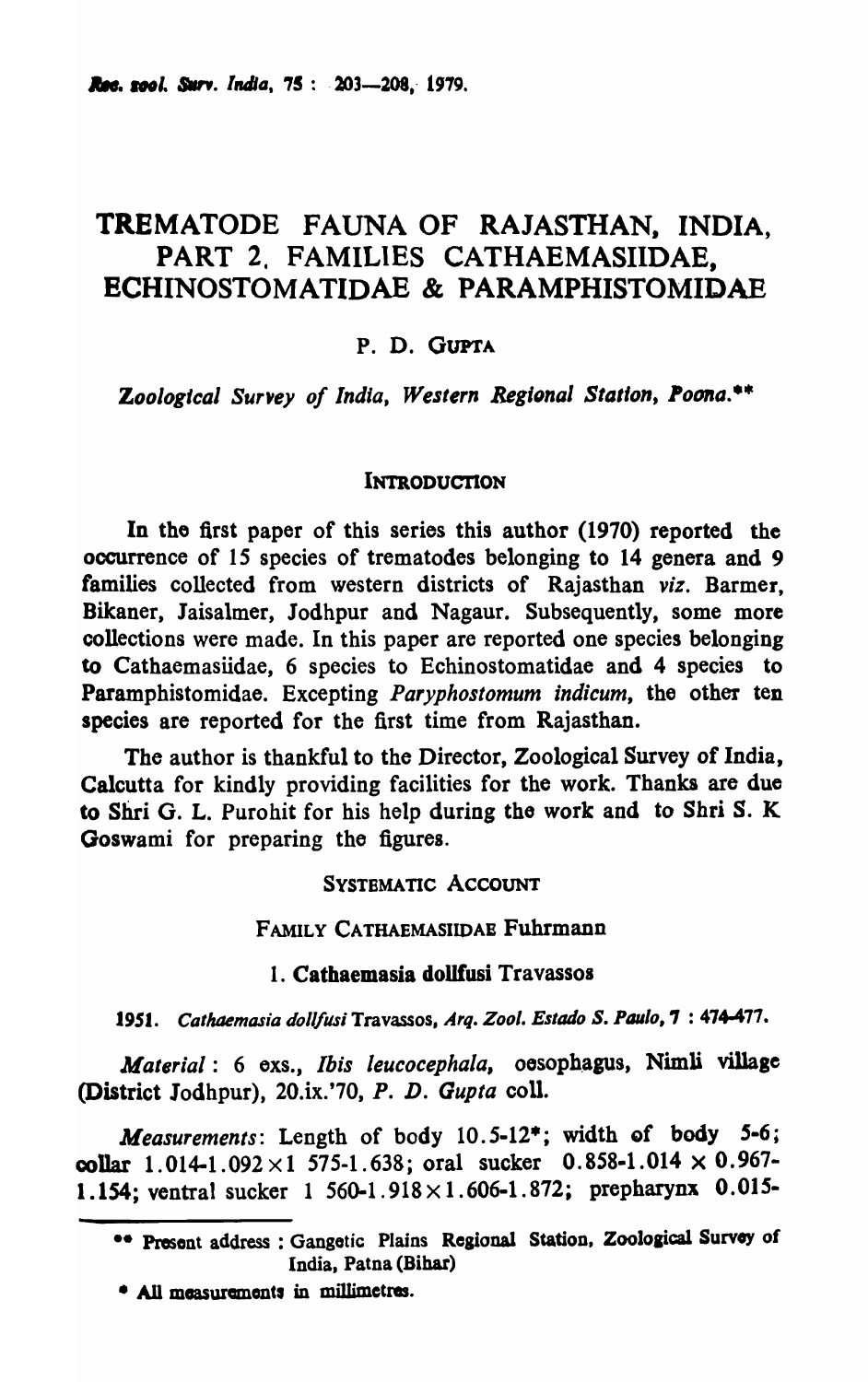# TREMATODE FAUNA OF RAJASTHAN, INDIA, PART 2, FAMILIES CATHAEMASIIDAE, ECHINOSTOMATIDAE & PARAMPHISTOMIDAE

### P. D. GUPTA

Zoological Survey of India, Western Regional Station, Poona.\*\*

#### INTRODUCTION

In tho first paper of this series this author (1970) reported the occurrence of 15 species of trematodes belonging to 14 genera and 9 families collected from western districts of Rajasthan *viz.* Barmer, Bikaner, Jaisalmer, Jodhpur and Nagaur. Subsequently, some more collections were made. In this paper are reported one species belonging to Cathaemasiidae, 6 species to Echinostomatidae and 4 species to Paramphistomidae. Excepting *Paryphostomum indicum,* the other ten species are reported for the first time from Rajasthan.

The author is thankful to the Director, Zoological Survey of India, Calcutta for kindly providing facilities for the work. Thanks are due to Shri G. L. Purohit for his help during tho work and to Shri S. K Goswami for preparing the figures.

#### SYSTEMATIC ACCOUNT

#### FAMILY CATHAEMASIIDAE Fuhrmann

#### 1. Cathaemasia dollfusi Travassos

1951. Cathaemasia dollfusi Travassos, Arq. Zool. Estado S. Paulo, 7: 474-477.

*Material: 6 exs., Ibis leucocephala, oesophagus, Nimli village* (District 10dhpur), 20.ix.'70, *P. D. Gupta* coll.

*Measurements*: Length of body 10.5-12\*; width of body 5-6; collar  $1.014-1.092 \times 1.575-1.638$ ; oral sucker  $0.858-1.014 \times 0.967$ -1.154; ventral sucker  $1\,560-1.918\times1.606-1.872$ ; prepharynx 0.015-

• All measurements in millimetres.

<sup>••</sup> Present address : Gangetic Plains Regional Station, Zoological Survey of India, Patna (Bihar)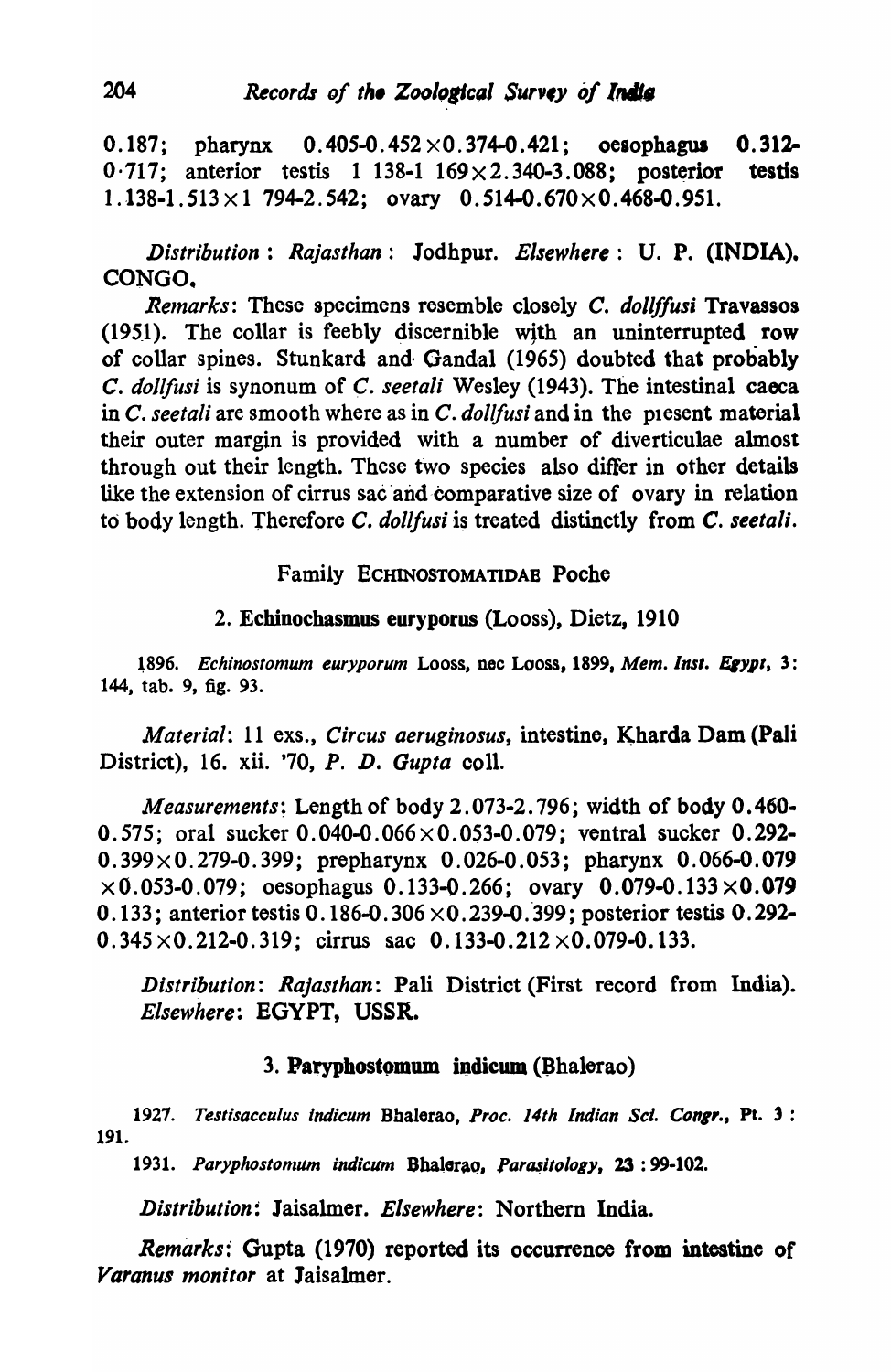0.187; pharynx  $0.405-0.452 \times 0.374-0.421$ ; oesophagus 0.312- $0.717$ ; anterior testis 1 138-1 169 $\times$ 2.340-3.088; posterior testis  $1.138-1.513 \times 1.794-2.542$ ; ovary  $0.514-0.670 \times 0.468-0.951$ .

*Distribution: Rajasthan:* 1odhpur. *Elsewhere:* U. P. (INDIA). CONGO.

*Remarks:* These specimens resemble closely C. *dollf/usi* Travassos  $(1951)$ . The collar is feebly discernible with an uninterrupted row of collar spines. Stunkard and· Oandal (1965) doubted that probably *c. dollfusi* is synonum of *C. seetali* Wesley (1943). The intestinal caeca in C. seetali are smooth where as in C. *dollfusi* and in the present material their outer margin is provided with a number of diverticulae almost through out their length. These two species also differ in other details like the extension of cirrus sac and comparative size of ovary in relation to body length. Therefore *C. dollfusi* is treated distinctly from *C. seetali.* 

# Family ECHlNOSTOMATIDAB Poche

### 2. Echinochasmus euryporus (Looss), Dietz, 1910

1896. Echinostomum euryporum Looss, nec Looss, 1899, Mem. Inst. Egypt, 3: 144. tab. 9, fig. 93.

*Material: 11 exs., Circus aeruginosus, intestine, Kharda Dam (Pali* District), 16. xii. '70, P. D. *Gupta* colI.

*Measurements;* Length of body 2.073-2. 796; width of body 0.460- 0.575; oral sucker  $0.040 - 0.066 \times 0.053 - 0.079$ ; ventral sucker 0.292- $0.399 \times 0.279 - 0.399$ ; prepharynx 0.026-0.053; pharynx 0.066-0.079  $\times 0.053$ -0.079; oesophagus 0.133-0.266; ovary 0.079-0.133 $\times$ 0.079 0.133; anterior testis 0.186-0.306 $\times$ 0.239-0.399; posterior testis 0.292- $0.345 \times 0.212 - 0.319$ ; cirrus sac  $0.133 - 0.212 \times 0.079 - 0.133$ .

Distribution: *Rajasthan*: Pali District (First record from India). *Elsewhere:* EGYPT, USSR.

# 3. Paryphostomum indicum (Bhalerao)

1927. Testisacculus indicum Bhalerao, Proc. 14th Indian Sci. Congr., Pt. 3 : 191.

1931. Paryphostomum indicum Bhalerao, Parasitology, 23: 99-102.

*Distribution:* Jaisalmer. *Elsewhere:* Northern India.

*Remarks:* Gupta (1970) reported its occurrence from intestine of *Varanus monitor* at Jaisalmer.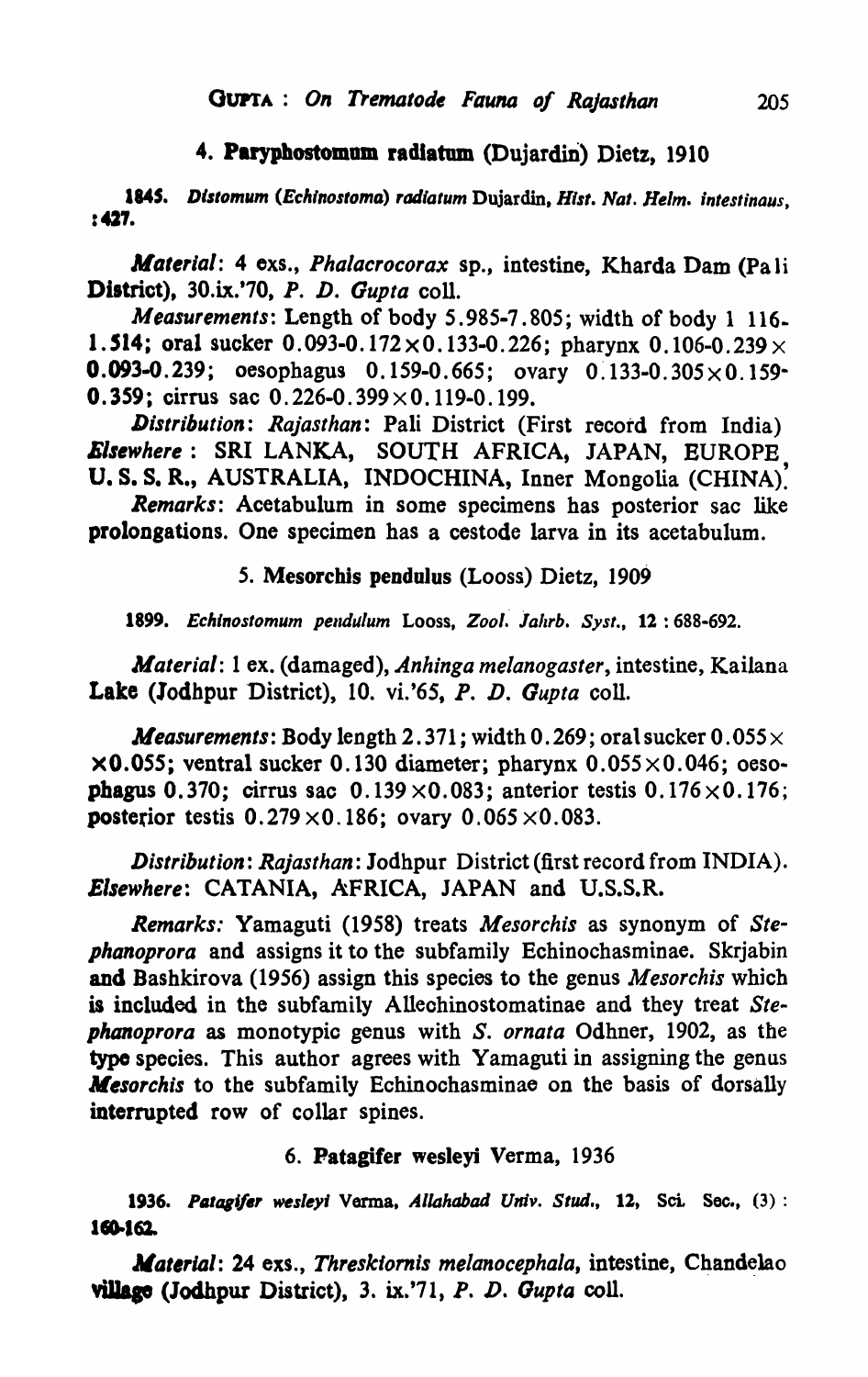### 4. Paryphostomum radiatum (Dujardin) Dietz, 1910

1845. Distomum (Echinostoma) radiatum Dujardin, Hist. Nat. Helm. intestinaus, :427.

*Material: 4 exs., Phalacrocorax sp., intestine, Kharda Dam (Pa li* District), 30.ix.'70, *P. D. Gupta* colI.

*Measurements: Length of body 5.985-7.805; width of body 1 116-*1.514; oral sucker  $0.093-0.172 \times 0.133-0.226$ ; pharynx  $0.106-0.239 \times$ **0.093-0.239;** oesophagus 0.159-0.665; ovary 0.133-0.305 $\times$ 0.159-**0.359; cirrus sac 0.226-0.399**  $\times$  **0.119-0.199.** 

*Distribution: Rajasthan:* Pali District (First record from India) **Elsewhere: SRI LANKA, SOUTH AFRICA, JAPAN, EUROPE** U. S. S. R., AUSTRALIA, INDOCHINA, Inner Mongolia (CHINA).

*Remarks:* Acetabulum in some specimens has posterior sac like prolongations. One specimen has a cestode larva in its acetabulum.

#### *5.* Mesorchis pendulus (Looss) Dietz, 1909

1899. Echinostomum pendulum Looss, Zool. Jahrb. Syst., 12: 688-692.

*Material:* 1 ex. (damaged), *Anhinga melanogaster,* intestine, Kailana Lake (lodhpur District), 10. vi.'6S, P. D. *Gupta* coll.

*Measurements:* Body length 2.371; width 0.269; oral sucker  $0.055 \times$  $\times$ 0.055; ventral sucker 0.130 diameter; pharynx 0.055 $\times$ 0.046; oesophagus 0.370; cirrus sac  $0.139 \times 0.083$ ; anterior testis  $0.176 \times 0.176$ ; posterior testis  $0.279 \times 0.186$ ; ovary  $0.065 \times 0.083$ .

*Distribution: Rajasthan:* Jodhpur District (first record from INDIA). *Elsewhere:* CATANIA, AFRICA, JAPAN and U.S.S.R.

*Remarks.'* Yamaguti (1958) treats *Mesorchis* as synonym of *Stephanoprora* and assigns it to the subfamily Echinochasminae. Skrjabin and Bashkirova (1956) assign this species to the genus *Mesorchis* which is included in the subfamily Alleohinostomatinae and they treat *Stephanoprora* as monotypic genus with S. *ornata* Odhner, 1902, as the typo species. This author agrees with Yamaguti in assigning the genus *Mesorchis* to the subfamily Echinochasminae on the basis of dorsally interrupted row of collar spines.

#### 6. Patagifer wesleyi Verma, 1936

1936. Patagifer wesleyi Verma, *Allahabad Univ. Stud.*, 12, Sci. Sec., (3): 160-162.

*Material: 24 exs., Threskiornis melanocephala, intestine, Chandelao* vUIaae (Joclhpur District), 3. ix.'71, P. D. *Gupta* coll.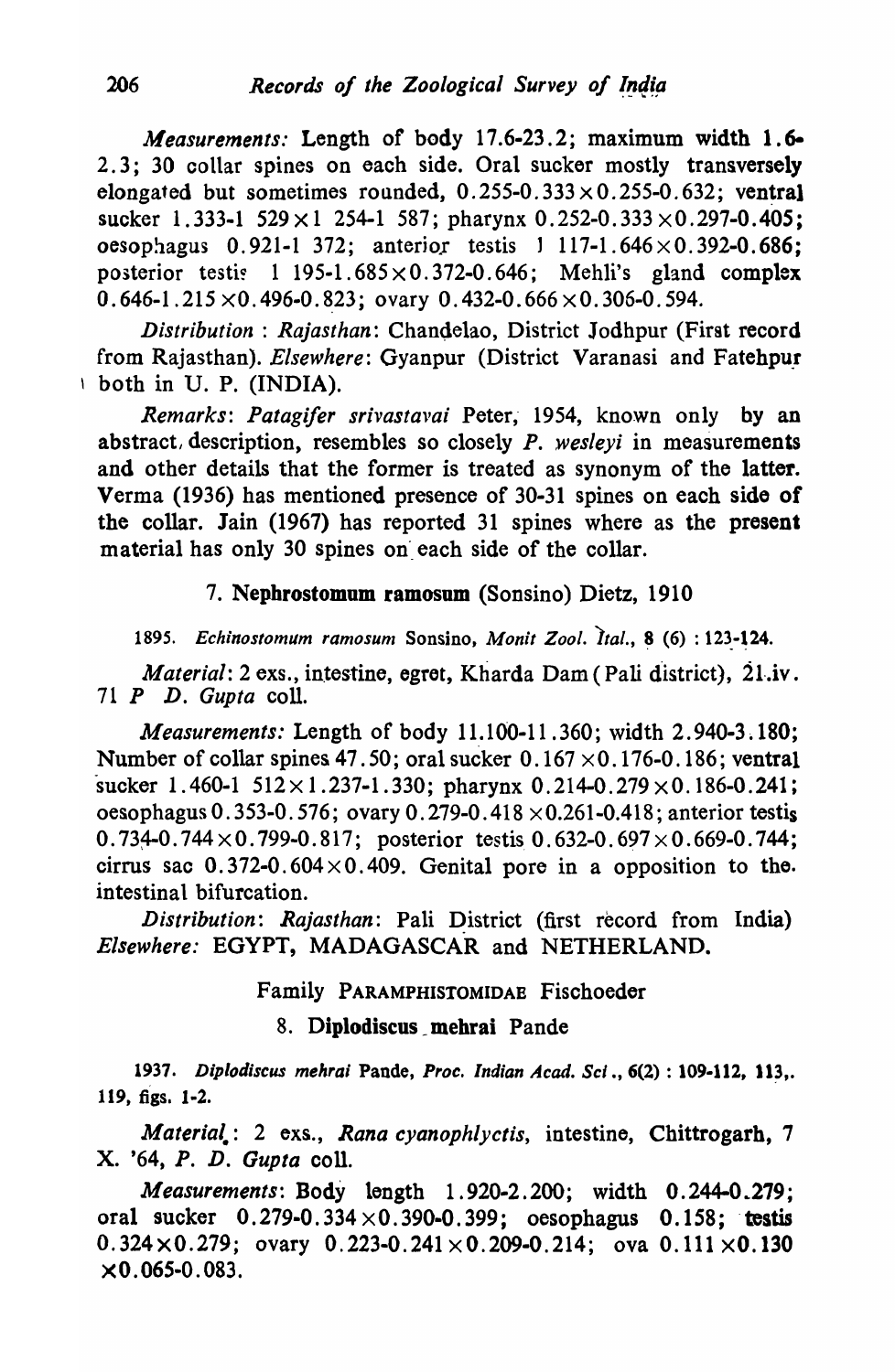*Measurements:* Length of body 17.6-23.2; maximum width 1.6- 2.3; 30 collar spines on each side. Oral sucker mostly transversely elongated but sometimes rounded,  $0.255-0.333 \times 0.255-0.632$ ; ventral sucker 1.333-1 529  $\times$  1 254-1 587; pharynx 0.252-0.333  $\times$  0.297-0.405; oesophagus 0.921-1 372; anterior testis 1 117-1.646 $\times$ 0.392-0.686; posterior testis 1 195-1.685 $\times$ 0.372-0.646; Mehli's gland complex  $0.646-1.215 \times 0.496-0.823$ ; ovary 0.432-0.666  $\times 0.306-0.594$ .

*Distribution: Rajasthan: Chandelao, District Jodhpur (First record* from Rajasthan). *Elsewhere:* Gyanpur (District Varanasi and Fatehpur \ both in U. P. (INDIA).

*Remarks: Patagifer srivastavai* Peter, 1954, known only by an abstract, description, resembles so closely *P. wesleyi* in measurements and other details that the former is treated as synonym of the latter. Verma (1936) has mentioned presence of 30-31 spines on each side of the collar. Jain (1967) has reported 31 spines where as the present material has only 30 spines on each side of the collar.

# 7. Nepbrostomum ramosum (Sonsino) Dietz, 1910

1895. Echinostomum ramosum Sonsino, Monit Zool. Ital., 8 (6) : 123-124.

*Material: 2 exs., intestine, egret, Kharda Dam (Pali district), 21.iv.* 71 *P D. Gupta* coll.

*Measurements:* Length of body 11.100-11.360; width 2.940-3.180; Number of collar spines 47.50; oral sucker  $0.167 \times 0.176$ -0.186; ventral sucker 1.460-1  $512 \times 1.237$ -1.330; pharynx 0.214-0.279  $\times$  0.186-0.241; oesophagus 0.353-0.576; ovary 0.279-0.418  $\times$  0.261-0.418; anterior testis  $0.734-0.744 \times 0.799-0.817$ ; posterior testis 0.632-0.697  $\times$  0.669-0.744; cirrus sac  $0.372-0.604 \times 0.409$ . Genital pore in a opposition to the. intestinal bifurcation.

*Distribution: Rajasthan: Pali District (first record from India) Elsewhere:* EGYPT, MADAGASCAR and NETHERLAND.

Family PARAMPHISTOMIDAB Fischoeder

# 8. Diplodiscus \_ mehrai Pande

1~37. *Diplodiscus mehrai* Pande, *Proc. Indian Acad. Sci* ., 6(2) : 109-112, Il~,. 119, figs. 1·2.

*Material.:* 2 exs., *Rana cyanophlyctis,* intestine, Chittrogarh, 7 x. '64, *P. D. Gupta* coil.

*Measurements:* Body length 1.920-2.200; width 0.244-0.279; oral sucker  $0.279 - 0.334 \times 0.390 - 0.399$ ; oesophagus  $0.158$ ; testis  $0.324 \times 0.279$ ; ovary  $0.223 - 0.241 \times 0.209 - 0.214$ ; ova  $0.111 \times 0.130$  $\times$ 0.065-0.083.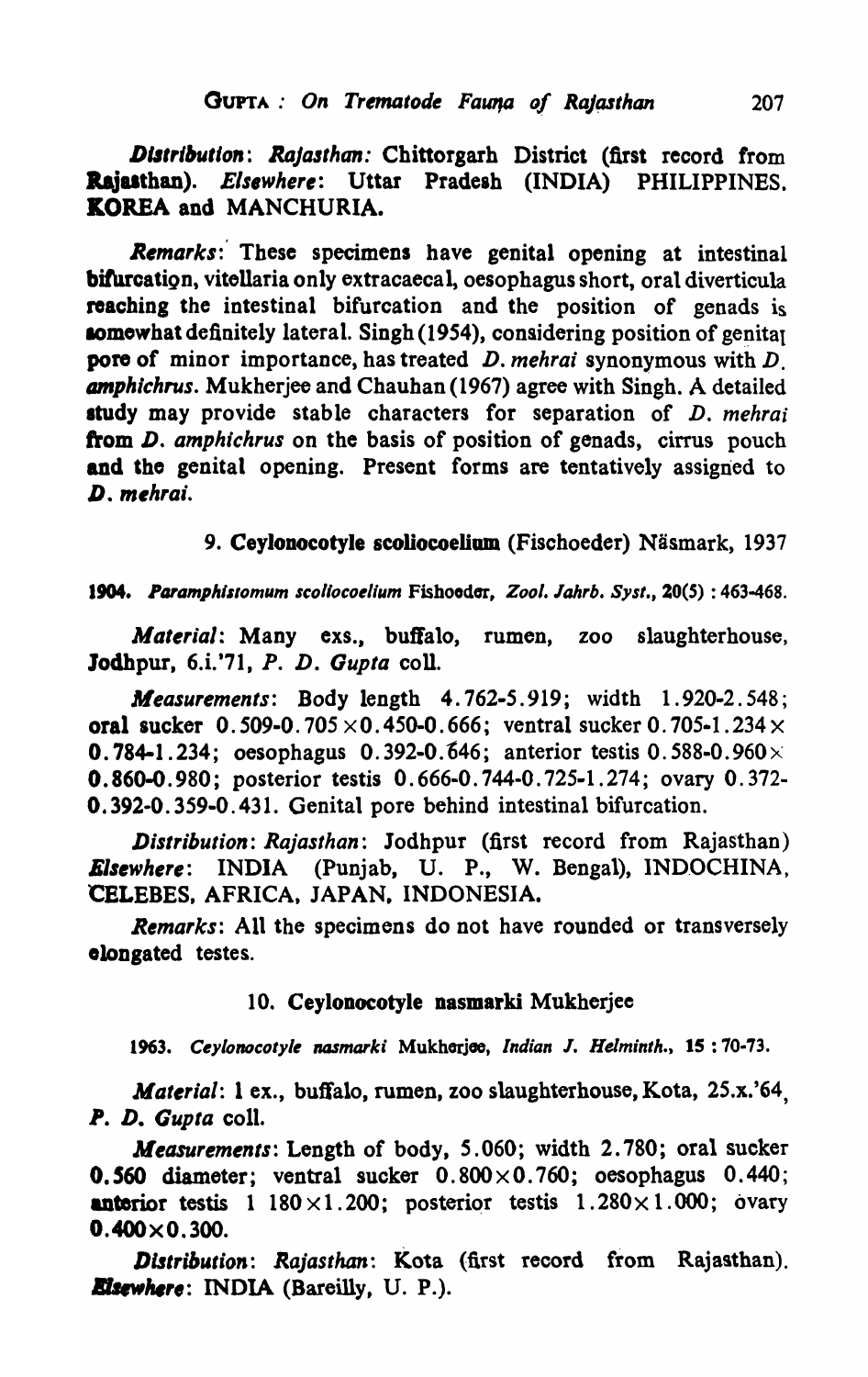Distribution: Rajasthan: Chittorgarh District (first record from Rajasthan). *Elsewhere*: Uttar Pradesh (INDIA) PHILIPPINES. KOREA and MANCHURIA.

Remarks:' These specimens have genital opening at intestinal biturcatign, vitellaria only extracaecal, oesophagus short, oral diverticula reaching the intestinal bifurcation and the position of genads is somewhat definitely lateral. Singh (1954), considering position of genital pore of minor importance, has treated *D. mehrai* synonymous with D. amphichrus. Mukherjee and Chauhan (1967) agree with Singh. A detailed study may provide stable characters for separation of *D. mehrai* from *D. amphichrus* on the basis of position of genads, cirrus pouch and the genital opening. Present forms are tentatively assigned to *D. m,hrai.* 

9. Ceylonocotyle scoliocoelium (Fischoeder) Näsmark, 1937

#### 1904. *Paramphistomum scoliocoelium Fishoodor, Zool. Jahrb. Syst.*, 20(5): 463-468.

*Material:* Many exs., buffalo, rumen, zoo slaughterhouse, Jodhpur, 6.i.'71, P. D. Gupta coll.

*Measurements:* Body length 4.762-5.919; width 1.920-2.548; oral sucker  $0.509 - 0.705 \times 0.450 - 0.666$ ; ventral sucker 0.705-1.234 $\times$ **0.784-1.234; oesophagus 0.392-0.646; anterior testis 0.588-0.960** $\times$ 0.860-0.980; posterior testis 0.666-0. 744-0. 725·1 .274; ovary O. 372- 0.392-0. 359-0.431. Genital pore behind intestinal bifurcation.

*Distribution: Rajasthan:* Jodhpur (first record from Rajasthan) *Elsewhere:* INDIA (Punjab, U. P., W. Bengal), INDOCHINA, CELEBES, AFRICA, JAPAN. INDONESIA.

*Remarks:* All the specimens do not have rounded or transversely olongated testes.

### 10. Ceylonocotyle nasmarki Mukherjee

1963. Ceylonocotyle nasmarki Mukhorjoe, *Indian J. Helminth.*, 15: 70-73.

*Material:* 1 ex., buffalo, rumen, zoo slaughterhouse, Kota, 25.x.'64, *P. D. Gupta* colI.

*Measurements:* Length of body, 5.060; width 2.780; oral sucker **0.560** diameter; ventral sucker  $0.800 \times 0.760$ ; oesophagus  $0.440$ ; anterior testis  $1\,180\times1.200$ ; posterior testis  $1.280\times1.000$ ; ovary  $0.400\times0.300.$ 

*Distribution: Rajasthan: Kota (first record from Rajasthan).*<br>*Elsewhere: INDIA (Bareilly, U. P.).*